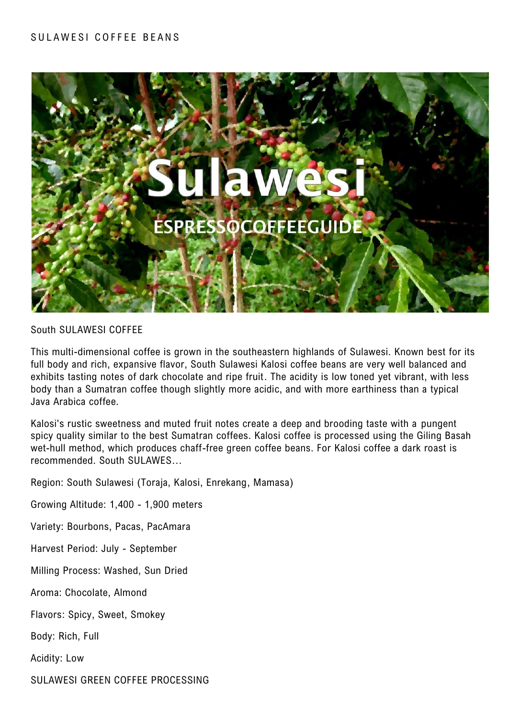# SULAWESI COFFEE BEANS



South SULAWESI COFFEE

This multi-dimensional coffee is grown in the southeastern highlands of Sulawesi. Known best for its full body and rich, expansive flavor, South Sulawesi Kalosi coffee beans are very well balanced and exhibits tasting notes of dark chocolate and ripe fruit. The acidity is low toned yet vibrant, with less body than a Sumatran coffee though slightly more acidic, and with more earthiness than a typical Java Arabica coffee.

Kalosi's rustic sweetness and muted fruit notes create a deep and brooding taste with a pungent spicy quality similar to the best Sumatran coffees. Kalosi coffee is processed using the Giling Basah wet-hull method, which produces chaff-free green coffee beans. For Kalosi coffee a dark roast is recommended. South SULAWES…

Region: South Sulawesi (Toraja, Kalosi, Enrekang, Mamasa)

Growing Altitude: 1,400 - 1,900 meters

Variety: Bourbons, Pacas, PacAmara

Harvest Period: July - September

Milling Process: Washed, Sun Dried

Aroma: Chocolate, Almond

Flavors: Spicy, Sweet, Smokey

Body: Rich, Full

Acidity: Low

SULAWESI GREEN COFFEE PROCESSING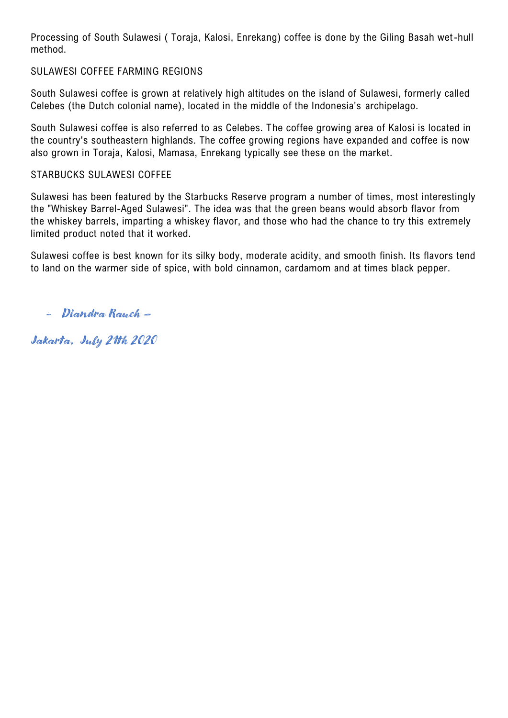Processing of South Sulawesi ( Toraja, Kalosi, Enrekang) coffee is done by the Giling Basah wet-hull method.

# SULAWESI COFFEE FARMING REGIONS

South Sulawesi coffee is grown at relatively high altitudes on the island of Sulawesi, formerly called Celebes (the Dutch colonial name), located in the middle of the Indonesia's archipelago.

South Sulawesi coffee is also referred to as Celebes. The coffee growing area of Kalosi is located in the country's southeastern highlands. The coffee growing regions have expanded and coffee is now also grown in Toraja, Kalosi, Mamasa, Enrekang typically see these on the market.

#### STARBUCKS SULAWESI COFFEE

Sulawesi has been featured by the Starbucks Reserve program a number of times, most interestingly the "Whiskey Barrel-Aged Sulawesi". The idea was that the green beans would absorb flavor from the whiskey barrels, imparting a whiskey flavor, and those who had the chance to try this extremely limited product noted that it worked.

Sulawesi coffee is best known for its silky body, moderate acidity, and smooth finish. Its flavors tend to land on the warmer side of spice, with bold cinnamon, cardamom and at times black pepper.

- Diandra Rauch –

Jakarta, July 21th 2020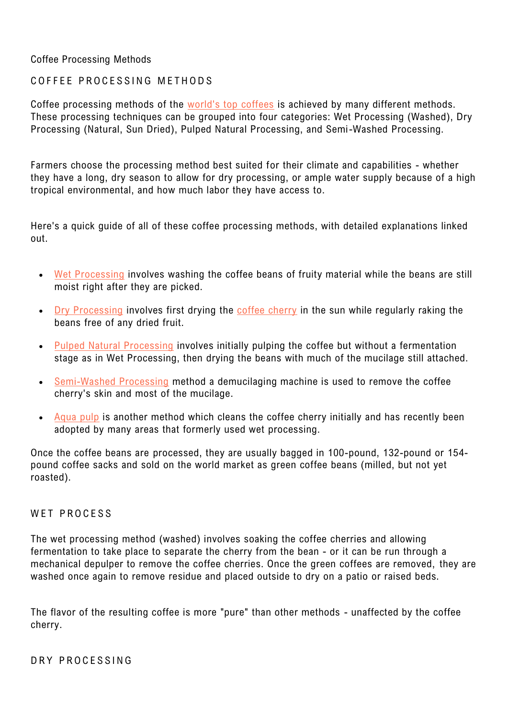# Coffee Processing Methods

# COFFFF PROCESSING METHODS

Coffee processing methods of the [world's top coffees](https://espressocoffeeguide.com/best-coffee-beans/) is achieved by many different methods. These processing techniques can be grouped into four categories: Wet Processing (Washed), Dry Processing (Natural, Sun Dried), Pulped Natural Processing, and Semi-Washed Processing.

Farmers choose the processing method best suited for their climate and capabilities - whether they have a long, dry season to allow for dry processing, or ample water supply because of a high tropical environmental, and how much labor they have access to.

Here's a quick guide of all of these coffee processing methods, with detailed explanations linked out.

- [Wet Processing](https://espressocoffeeguide.com/all-about-coffee-2/coffee-processing/wet-processing/) involves washing the coffee beans of fruity material while the beans are still moist right after they are picked.
- [Dry Processing](https://espressocoffeeguide.com/all-about-coffee-2/coffee-processing/#dry-processing) involves first drying the [coffee cherry](https://espressocoffeeguide.com/all-about-coffee-2/coffee-cherry/) in the sun while regularly raking the beans free of any dried fruit.
- [Pulped Natural Processing](https://espressocoffeeguide.com/all-about-coffee-2/coffee-processing/pulped-natural-processing/) involves initially pulping the coffee but without a fermentation stage as in Wet Processing, then drying the beans with much of the mucilage still attached.
- [Semi-Washed Processing](https://espressocoffeeguide.com/all-about-coffee-2/coffee-processing/semi-washed-processing/) method a demucilaging machine is used to remove the coffee cherry's skin and most of the mucilage.
- Agua pulp is another method which cleans the coffee cherry initially and has recently been adopted by many areas that formerly used wet processing.

Once the coffee beans are processed, they are usually bagged in 100-pound, 132-pound or 154 pound coffee sacks and sold on the world market as green coffee beans (milled, but not yet roasted).

#### WET PROCESS

The wet processing method (washed) involves soaking the coffee cherries and allowing fermentation to take place to separate the cherry from the bean - or it can be run through a mechanical depulper to remove the coffee cherries. Once the green coffees are removed, they are washed once again to remove residue and placed outside to dry on a patio or raised beds.

The flavor of the resulting coffee is more "pure" than other methods - unaffected by the coffee cherry.

DRY PROCESSING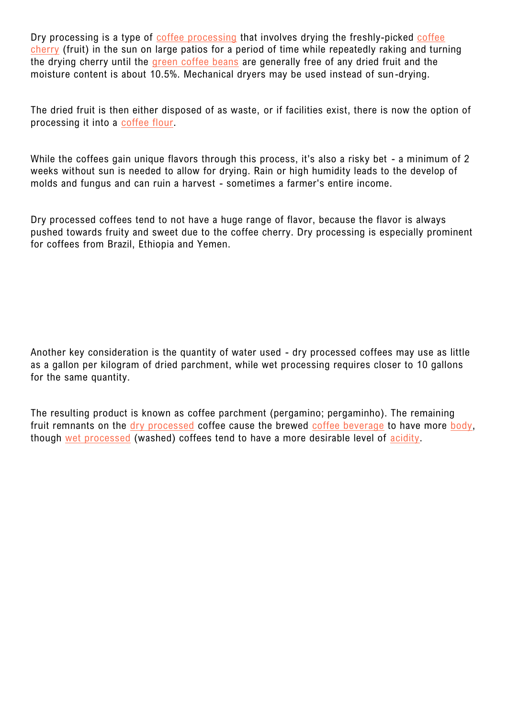Dry processing is a type of [coffee processing](https://espressocoffeeguide.com/all-about-coffee-2/coffee-processing/) that involves drying the freshly-picked coffee [cherry](https://espressocoffeeguide.com/all-about-coffee-2/coffee-cherry/) (fruit) in the sun on large patios for a period of time while repeatedly raking and turning the drying cherry until the [green coffee beans](https://espressocoffeeguide.com/collections/green-coffee-beans/) are generally free of any dried fruit and the moisture content is about 10.5%. Mechanical dryers may be used instead of sun -drying.

The dried fruit is then either disposed of as waste, or if facilities exist, there is now the option of processing it into a [coffee flour.](https://espressocoffeeguide.com/coffee-flour/)

While the coffees gain unique flavors through this process, it's also a risky bet - a minimum of 2 weeks without sun is needed to allow for drying. Rain or high humidity leads to the develop of molds and fungus and can ruin a harvest - sometimes a farmer's entire income.

Dry processed coffees tend to not have a huge range of flavor, because the flavor is always pushed towards fruity and sweet due to the coffee cherry. Dry processing is especially prominent for coffees from Brazil, Ethiopia and Yemen.

Another key consideration is the quantity of water used - dry processed coffees may use as little as a gallon per kilogram of dried parchment, while wet processing requires closer to 10 gallons for the same quantity.

The resulting product is known as coffee parchment (pergamino; pergaminho). The remaining fruit remnants on the [dry processed](https://espressocoffeeguide.com/all-about-coffee-2/coffee-processing/#dry-processing) coffee cause the brewed [coffee beverage](https://espressocoffeeguide.com/all-about-coffee-2/alcoholic-coffee-drink-recipes/) to have more [body,](https://espressocoffeeguide.com/all-about-coffee-2/coffee-flavor/body/) though [wet processed](https://espressocoffeeguide.com/all-about-coffee-2/coffee-processing/wet-processing/) (washed) coffees tend to have a more desirable level of [acidity.](https://espressocoffeeguide.com/low-acid-coffee/)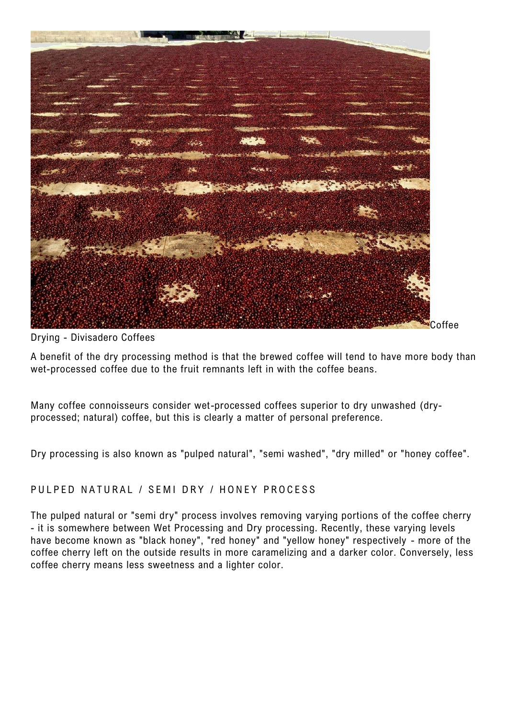

Drying - Divisadero Coffees

A benefit of the dry processing method is that the brewed coffee will tend to have more body than wet-processed coffee due to the fruit remnants left in with the coffee beans.

Many coffee connoisseurs consider wet-processed coffees superior to dry unwashed (dryprocessed; natural) coffee, but this is clearly a matter of personal preference.

Dry processing is also known as "pulped natural", "semi washed", "dry milled" or "honey coffee".

# PULPED NATURAL / SEMI DRY / HONEY PROCESS

The pulped natural or "semi dry" process involves removing varying portions of the coffee cherry - it is somewhere between Wet Processing and Dry processing. Recently, these varying levels have become known as "black honey", "red honey" and "yellow honey" respectively - more of the coffee cherry left on the outside results in more caramelizing and a darker color. Conversely, less coffee cherry means less sweetness and a lighter color.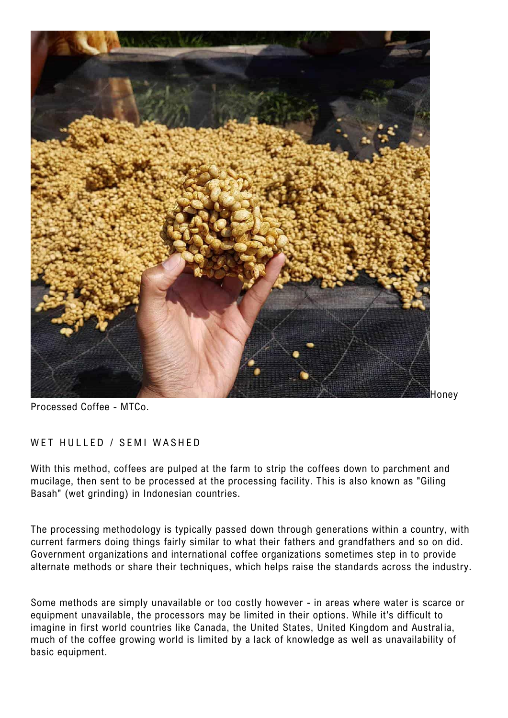

Processed Coffee - MTCo.

# WET HULLED / SEMI WASHED

With this method, coffees are pulped at the farm to strip the coffees down to parchment and mucilage, then sent to be processed at the processing facility. This is also known as "Giling Basah" (wet grinding) in Indonesian countries.

The processing methodology is typically passed down through generations within a country, with current farmers doing things fairly similar to what their fathers and grandfathers and so on did. Government organizations and international coffee organizations sometimes step in to provide alternate methods or share their techniques, which helps raise the standards across the industry.

Some methods are simply unavailable or too costly however - in areas where water is scarce or equipment unavailable, the processors may be limited in their options. While it's difficult to imagine in first world countries like Canada, the United States, United Kingdom and Australia, much of the coffee growing world is limited by a lack of knowledge as well as unavailability of basic equipment.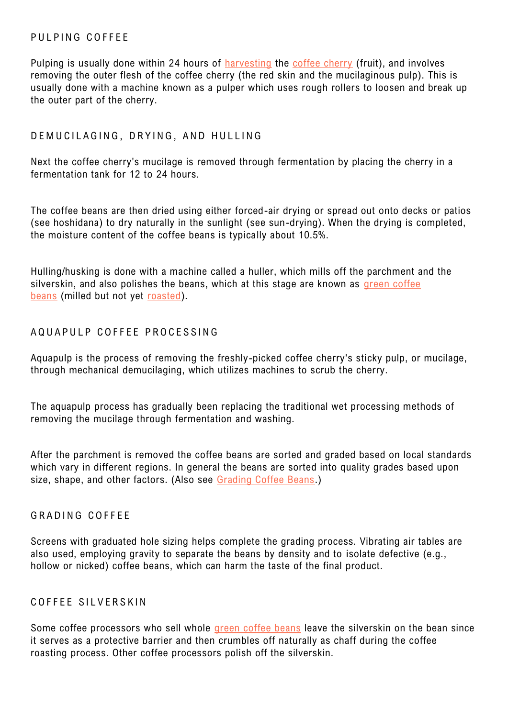# PULPING COFFEE

Pulping is usually done within 24 hours of [harvesting](https://espressocoffeeguide.com/all-about-coffee-2/harvesting-coffee/) the [coffee cherry](https://espressocoffeeguide.com/all-about-coffee-2/coffee-cherry/) (fruit), and involves removing the outer flesh of the coffee cherry (the red skin and the mucilaginous pulp). This is usually done with a machine known as a pulper which uses rough rollers to loosen and break up the outer part of the cherry.

# DEMUCILAGING, DRYING, AND HULLING

Next the coffee cherry's mucilage is removed through fermentation by placing the cherry in a fermentation tank for 12 to 24 hours.

The coffee beans are then dried using either forced-air drying or spread out onto decks or patios (see hoshidana) to dry naturally in the sunlight (see sun-drying). When the drying is completed, the moisture content of the coffee beans is typically about 10.5%.

Hulling/husking is done with a machine called a huller, which mills off the parchment and the silverskin, and also polishes the beans, which at this stage are known as green coffee [beans](https://espressocoffeeguide.com/collections/coffee-beans/green-coffee-beans/) (milled but not yet [roasted\)](https://espressocoffeeguide.com/all-about-coffee-2/roasting-coffee/).

### AQUAPULP COFFEE PROCESSING

Aquapulp is the process of removing the freshly-picked coffee cherry's sticky pulp, or mucilage, through mechanical demucilaging, which utilizes machines to scrub the cherry.

The aquapulp process has gradually been replacing the traditional wet processing methods of removing the mucilage through fermentation and washing.

After the parchment is removed the coffee beans are sorted and graded based on local standards which vary in different regions. In general the beans are sorted into quality grades based upon size, shape, and other factors. (Also see [Grading Coffee Beans.](https://espressocoffeeguide.com/all-about-coffee-2/grading-coffee/))

#### GRADING COFFFF

Screens with graduated hole sizing helps complete the grading process. Vibrating air tables are also used, employing gravity to separate the beans by density and to isolate defective (e.g., hollow or nicked) coffee beans, which can harm the taste of the final product.

# COFFFF SILVERSKIN

Some coffee processors who sell whole [green coffee beans](https://espressocoffeeguide.com/collections/coffee-beans/green-coffee-beans/) leave the silverskin on the bean since it serves as a protective barrier and then crumbles off naturally as chaff during the coffee roasting process. Other coffee processors polish off the silverskin.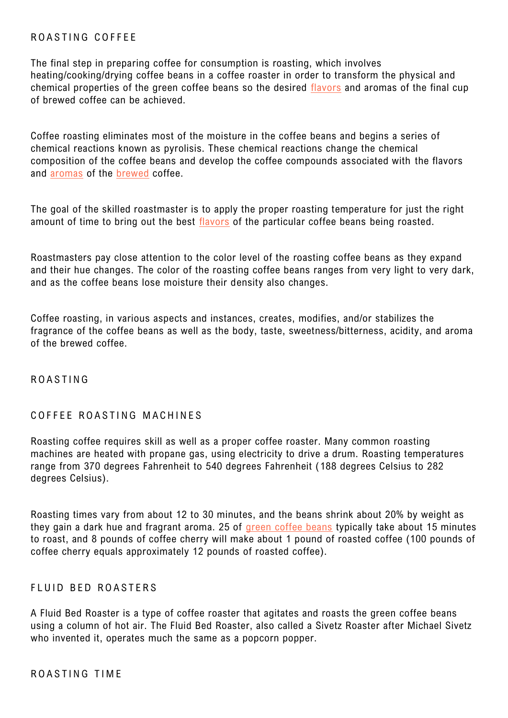# ROASTING COFFEE

The final step in preparing coffee for consumption is roasting, which involves heating/cooking/drying coffee beans in a coffee roaster in order to transform the physical and chemical properties of the green coffee beans so the desired [flavors](https://espressocoffeeguide.com/all-about-coffee-2/coffee-flavor/) and aromas of the final cup of brewed coffee can be achieved.

Coffee roasting eliminates most of the moisture in the coffee beans and begins a series of chemical reactions known as pyrolisis. These chemical reactions change the chemical composition of the coffee beans and develop the coffee compounds associated with the flavors and [aromas](https://espressocoffeeguide.com/all-about-coffee-2/coffee-flavor/aroma/) of the [brewed](https://espressocoffeeguide.com/all-about-coffee-2/coffee-brewing/) coffee.

The goal of the skilled roastmaster is to apply the proper roasting temperature for just the right amount of time to bring out the best [flavors](https://espressocoffeeguide.com/all-about-coffee-2/coffee-flavor/) of the particular coffee beans being roasted.

Roastmasters pay close attention to the color level of the roasting coffee beans as they expand and their hue changes. The color of the roasting coffee beans ranges from very light to very dark, and as the coffee beans lose moisture their density also changes.

Coffee roasting, in various aspects and instances, creates, modifies, and/or stabilizes the fragrance of the coffee beans as well as the body, taste, sweetness/bitterness, acidity, and aroma of the brewed coffee.

## R O A S T I N G

#### COFFEE ROASTING MACHINES

Roasting coffee requires skill as well as a proper coffee roaster. Many common roasting machines are heated with propane gas, using electricity to drive a drum. Roasting temperatures range from 370 degrees Fahrenheit to 540 degrees Fahrenheit (188 degrees Celsius to 282 degrees Celsius).

Roasting times vary from about 12 to 30 minutes, and the beans shrink about 20% by weight as they gain a dark hue and fragrant aroma. 25 of [green coffee beans](https://espressocoffeeguide.com/collections/coffee-beans/green-coffee-beans/) typically take about 15 minutes to roast, and 8 pounds of coffee cherry will make about 1 pound of roasted coffee (100 pounds of coffee cherry equals approximately 12 pounds of roasted coffee).

#### FLUID BED ROASTERS

A Fluid Bed Roaster is a type of coffee roaster that agitates and roasts the green coffee beans using a column of hot air. The Fluid Bed Roaster, also called a Sivetz Roaster after Michael Sivetz who invented it, operates much the same as a popcorn popper.